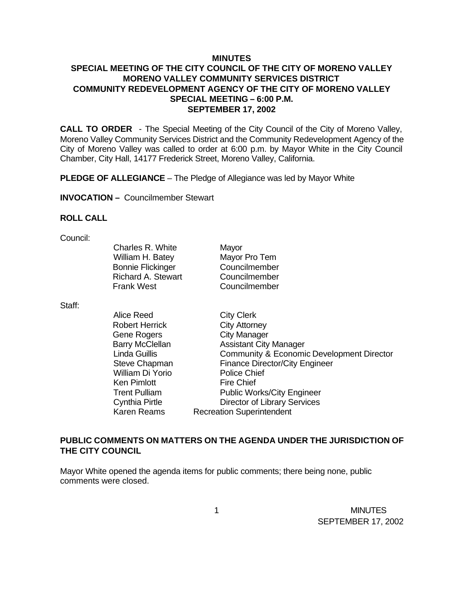### **MINUTES**

## **SPECIAL MEETING OF THE CITY COUNCIL OF THE CITY OF MORENO VALLEY MORENO VALLEY COMMUNITY SERVICES DISTRICT COMMUNITY REDEVELOPMENT AGENCY OF THE CITY OF MORENO VALLEY SPECIAL MEETING – 6:00 P.M. SEPTEMBER 17, 2002**

**CALL TO ORDER** - The Special Meeting of the City Council of the City of Moreno Valley, Moreno Valley Community Services District and the Community Redevelopment Agency of the City of Moreno Valley was called to order at 6:00 p.m. by Mayor White in the City Council Chamber, City Hall, 14177 Frederick Street, Moreno Valley, California.

**PLEDGE OF ALLEGIANCE** – The Pledge of Allegiance was led by Mayor White

**INVOCATION –** Councilmember Stewart

#### **ROLL CALL**

| Council: |                          |                                           |
|----------|--------------------------|-------------------------------------------|
|          | Charles R. White         | Mayor                                     |
|          | William H. Batey         | Mayor Pro Tem                             |
|          | <b>Bonnie Flickinger</b> | Councilmember                             |
|          | Richard A. Stewart       | Councilmember                             |
|          | <b>Frank West</b>        | Councilmember                             |
| Staff:   |                          |                                           |
|          | Alice Reed               | <b>City Clerk</b>                         |
|          | <b>Robert Herrick</b>    | <b>City Attorney</b>                      |
|          | Gene Rogers              | City Manager                              |
|          | <b>Barry McClellan</b>   | <b>Assistant City Manager</b>             |
|          | Linda Guillis            | Community & Economic Development Director |

Steve Chapman Finance Director/City Engineer

Trent Pulliam Public Works/City Engineer Cynthia Pirtle Director of Library Services

Karen Reams Recreation Superintendent

William Di Yorio Police Chief Ken Pimlott Fire Chief

**PUBLIC COMMENTS ON MATTERS ON THE AGENDA UNDER THE JURISDICTION OF THE CITY COUNCIL**

Mayor White opened the agenda items for public comments; there being none, public comments were closed.

 1 MINUTES SEPTEMBER 17, 2002